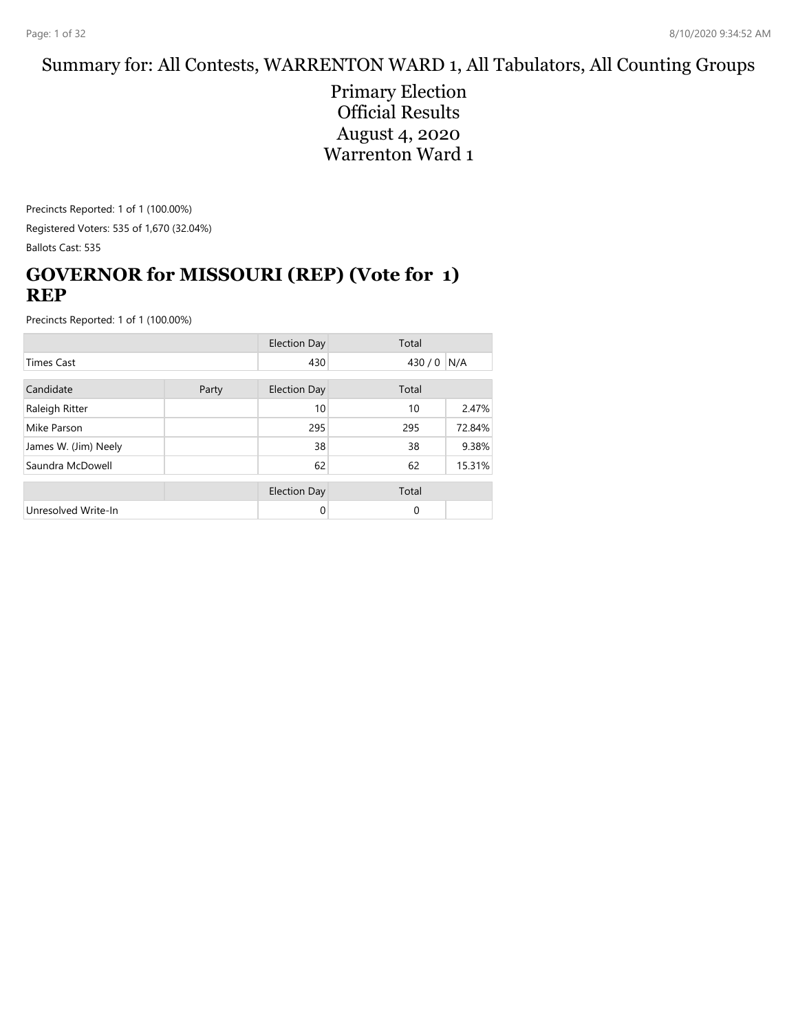#### Summary for: All Contests, WARRENTON WARD 1, All Tabulators, All Counting Groups

Primary Election Official Results August 4, 2020 Warrenton Ward 1

Precincts Reported: 1 of 1 (100.00%) Registered Voters: 535 of 1,670 (32.04%) Ballots Cast: 535

## **GOVERNOR for MISSOURI (REP) (Vote for 1) REP**

|                      |  | <b>Election Day</b> | Total    |        |
|----------------------|--|---------------------|----------|--------|
| <b>Times Cast</b>    |  | 430                 | 430 / 0  | N/A    |
| Candidate<br>Party   |  | <b>Election Day</b> | Total    |        |
| Raleigh Ritter       |  | 10                  | 10       | 2.47%  |
| Mike Parson          |  | 295                 | 295      | 72.84% |
| James W. (Jim) Neely |  | 38                  | 38       | 9.38%  |
| Saundra McDowell     |  | 62                  | 62       | 15.31% |
|                      |  | <b>Election Day</b> | Total    |        |
| Unresolved Write-In  |  | 0                   | $\Omega$ |        |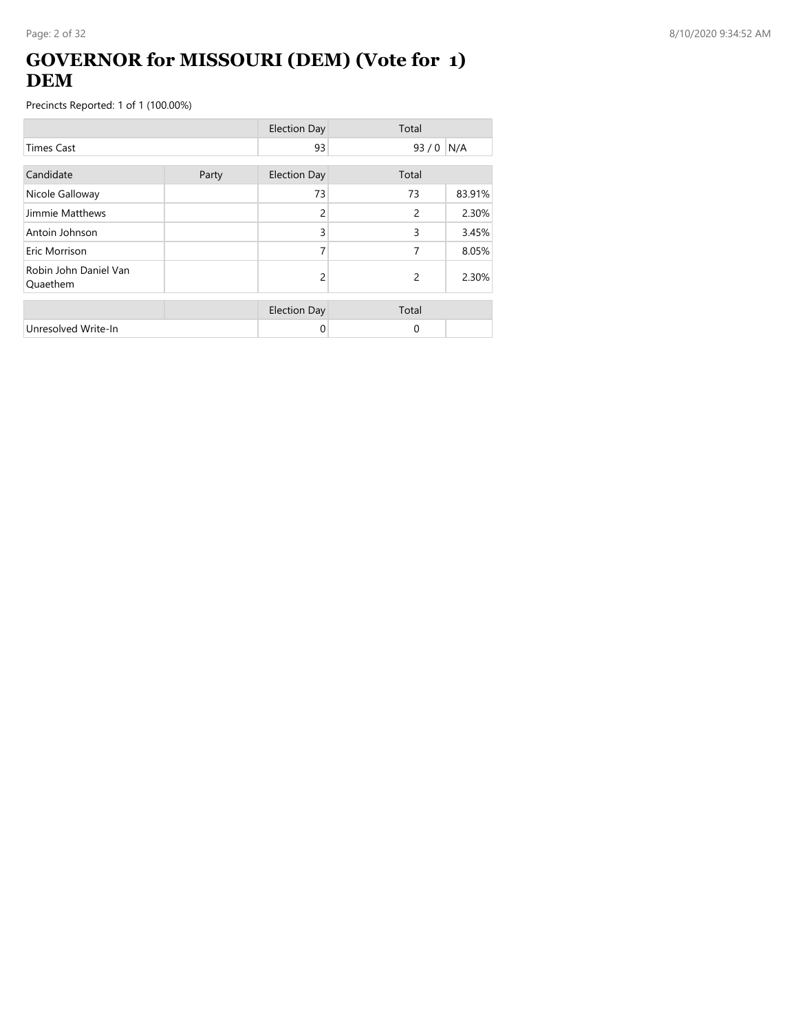## **GOVERNOR for MISSOURI (DEM) (Vote for 1) DEM**

|                                   |       | <b>Election Day</b> | Total |        |
|-----------------------------------|-------|---------------------|-------|--------|
| <b>Times Cast</b>                 |       | 93                  | 93/0  | N/A    |
| Candidate                         | Party | <b>Election Day</b> | Total |        |
| Nicole Galloway                   |       | 73                  | 73    | 83.91% |
| Jimmie Matthews                   |       | 2                   | 2     | 2.30%  |
| Antoin Johnson                    |       | 3                   | 3     | 3.45%  |
| Eric Morrison                     |       |                     | 7     | 8.05%  |
| Robin John Daniel Van<br>Quaethem |       | 2                   | 2     | 2.30%  |
|                                   |       | <b>Election Day</b> | Total |        |
| Unresolved Write-In               |       | 0                   | 0     |        |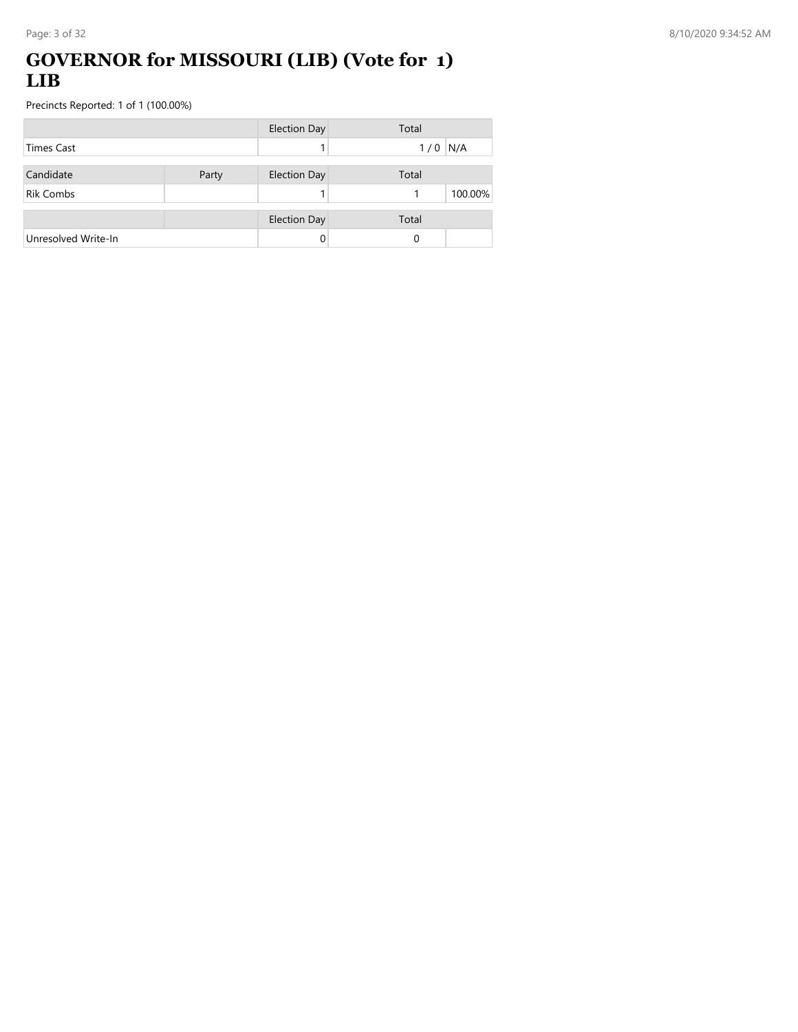## **GOVERNOR for MISSOURI (LIB) (Vote for 1) LIB**

|                     |       | <b>Election Day</b> | Total      |
|---------------------|-------|---------------------|------------|
| <b>Times Cast</b>   |       |                     | N/A<br>1/0 |
| Candidate           | Party | <b>Election Day</b> | Total      |
| <b>Rik Combs</b>    |       |                     | 100.00%    |
|                     |       | <b>Election Day</b> | Total      |
| Unresolved Write-In |       |                     | 0          |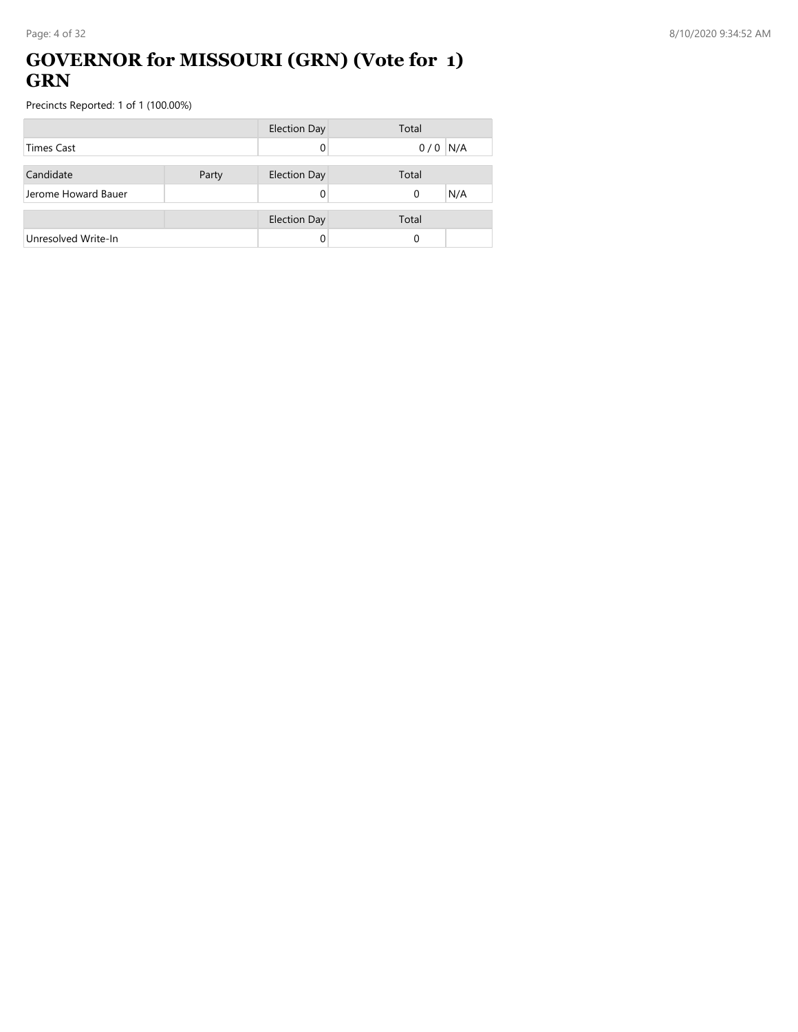### **GOVERNOR for MISSOURI (GRN) (Vote for 1) GRN**

|                     |       | Election Day        | Total    |     |
|---------------------|-------|---------------------|----------|-----|
| <b>Times Cast</b>   |       |                     | 0/0      | N/A |
|                     |       |                     |          |     |
| Candidate           | Party | <b>Election Day</b> | Total    |     |
| Jerome Howard Bauer |       |                     | $\Omega$ | N/A |
|                     |       |                     |          |     |
|                     |       | <b>Election Day</b> | Total    |     |
| Unresolved Write-In |       |                     | 0        |     |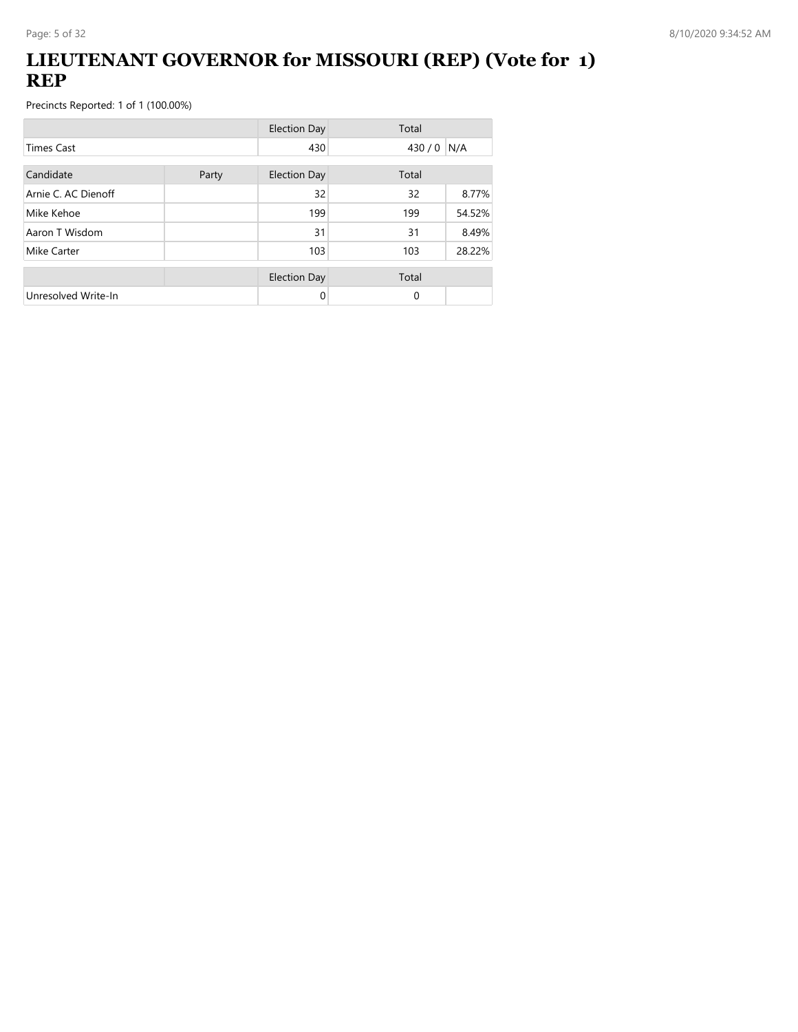## **LIEUTENANT GOVERNOR for MISSOURI (REP) (Vote for 1) REP**

|                     |  | <b>Election Day</b> | Total       |        |
|---------------------|--|---------------------|-------------|--------|
| <b>Times Cast</b>   |  | 430                 | $430/0$ N/A |        |
| Candidate<br>Party  |  | <b>Election Day</b> | Total       |        |
| Arnie C. AC Dienoff |  | 32                  | 32          | 8.77%  |
| Mike Kehoe          |  | 199                 | 199         | 54.52% |
| Aaron T Wisdom      |  | 31                  | 31          | 8.49%  |
| Mike Carter         |  | 103                 | 103         | 28.22% |
|                     |  | <b>Election Day</b> | Total       |        |
| Unresolved Write-In |  | 0                   | $\Omega$    |        |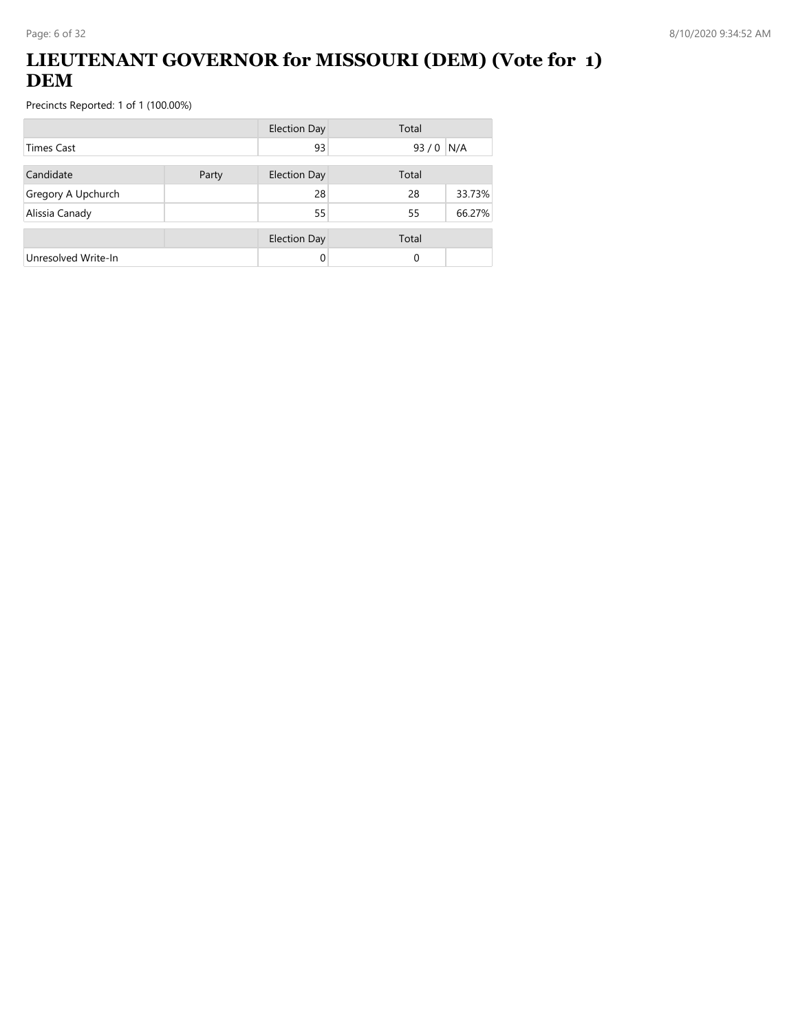## **LIEUTENANT GOVERNOR for MISSOURI (DEM) (Vote for 1) DEM**

|                     |  | <b>Election Day</b> | Total |        |
|---------------------|--|---------------------|-------|--------|
| <b>Times Cast</b>   |  | 93                  | 93/0  | N/A    |
| Candidate<br>Party  |  | <b>Election Day</b> | Total |        |
| Gregory A Upchurch  |  | 28                  | 28    | 33.73% |
| Alissia Canady      |  | 55                  | 55    | 66.27% |
|                     |  | <b>Election Day</b> | Total |        |
| Unresolved Write-In |  | 0                   | 0     |        |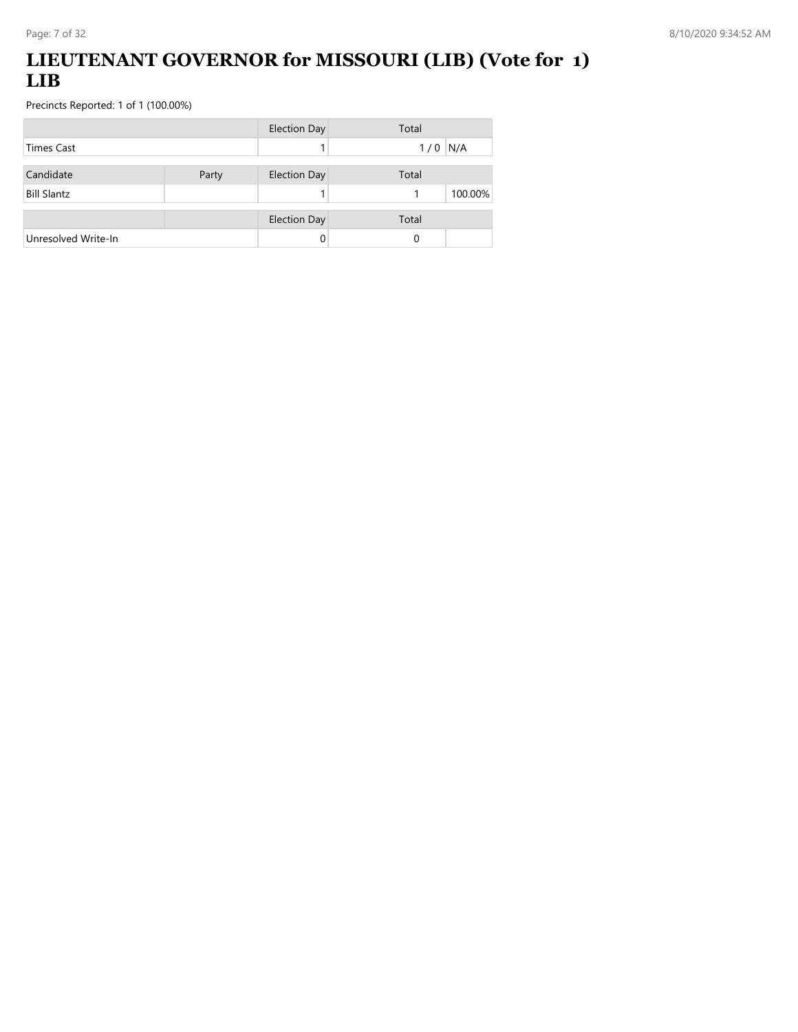## **LIEUTENANT GOVERNOR for MISSOURI (LIB) (Vote for 1) LIB**

|                     |       | <b>Election Day</b> | Total        |
|---------------------|-------|---------------------|--------------|
| Times Cast          |       |                     | N/A<br>1/0   |
| Candidate           | Party | <b>Election Day</b> | Total        |
| <b>Bill Slantz</b>  |       |                     | 100.00%<br>1 |
|                     |       | <b>Election Day</b> | Total        |
| Unresolved Write-In |       | 0                   | 0            |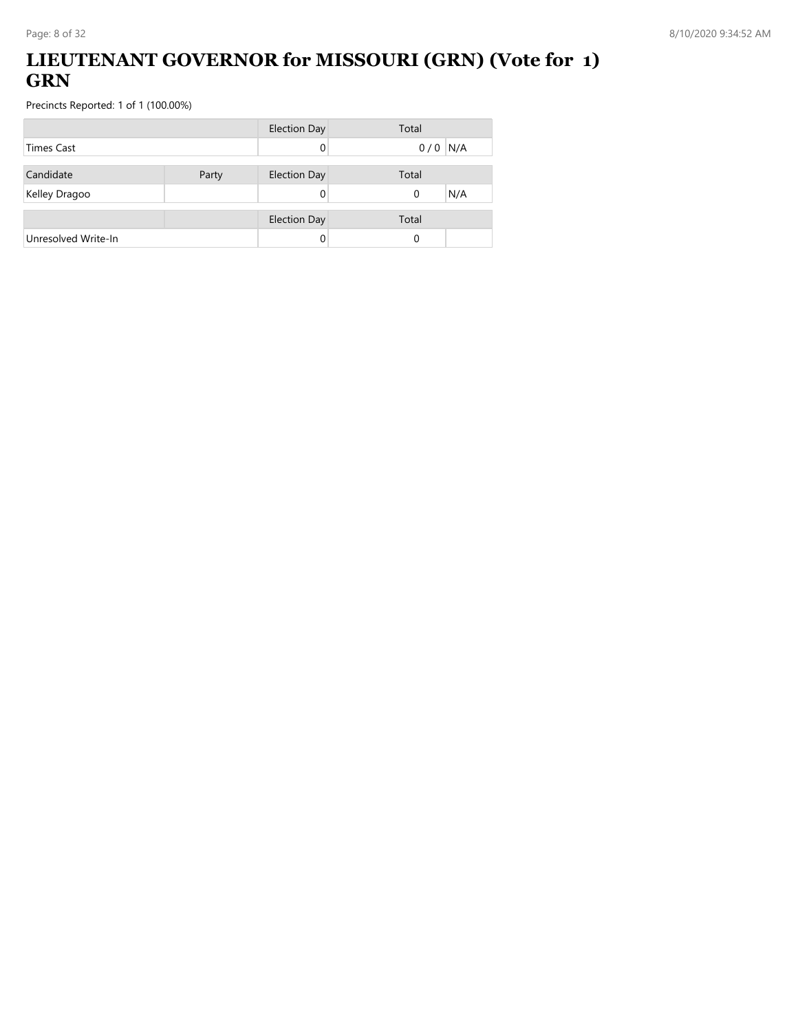## **LIEUTENANT GOVERNOR for MISSOURI (GRN) (Vote for 1) GRN**

|                     |       | <b>Election Day</b> | Total           |
|---------------------|-------|---------------------|-----------------|
| <b>Times Cast</b>   |       |                     | $0/0$ N/A       |
| Candidate           | Party | <b>Election Day</b> | Total           |
| Kelley Dragoo       |       |                     | N/A<br>$\Omega$ |
|                     |       | <b>Election Day</b> | Total           |
| Unresolved Write-In |       |                     | 0               |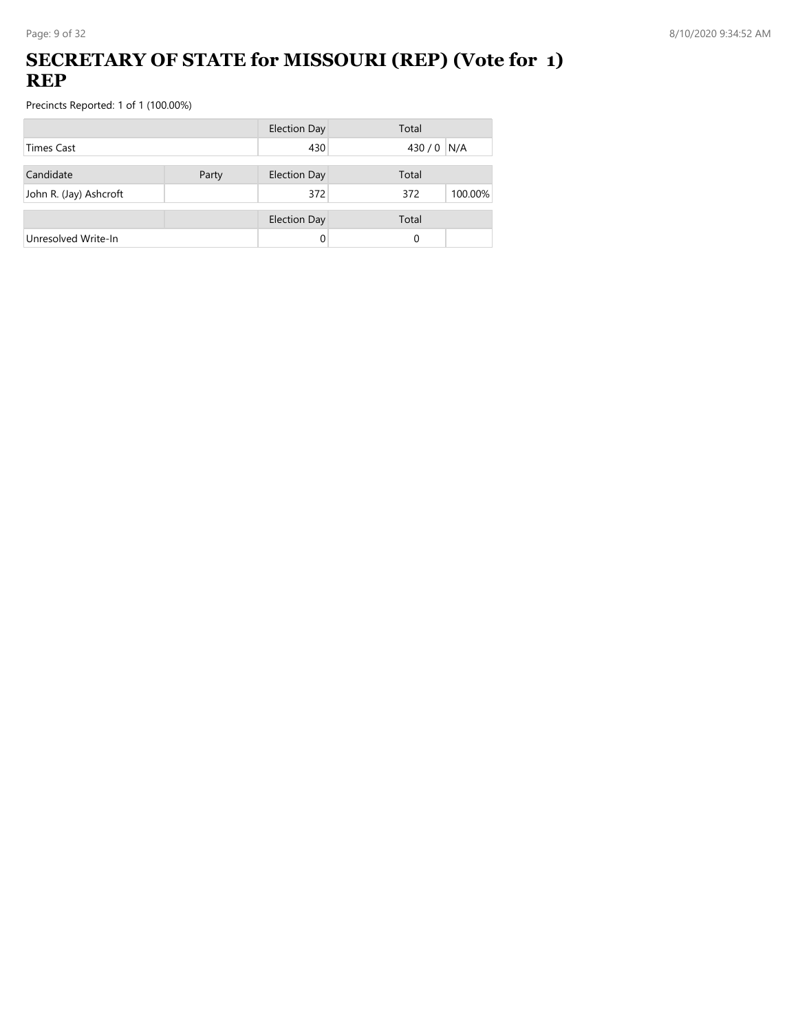## **SECRETARY OF STATE for MISSOURI (REP) (Vote for 1) REP**

|                        |       | <b>Election Day</b> | Total          |
|------------------------|-------|---------------------|----------------|
| <b>Times Cast</b>      |       | 430                 | 430 / 0 N/A    |
| Candidate              | Party | <b>Election Day</b> | Total          |
| John R. (Jay) Ashcroft |       | 372                 | 100.00%<br>372 |
|                        |       | <b>Election Day</b> | Total          |
| Unresolved Write-In    |       | 0                   | 0              |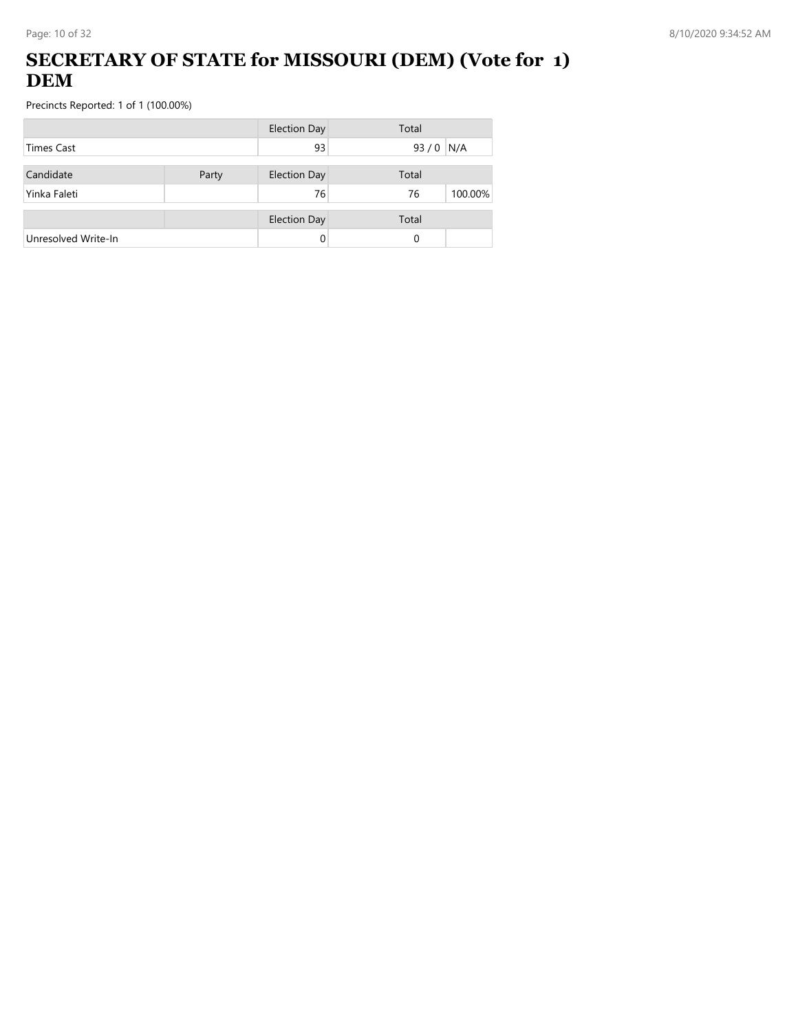## **SECRETARY OF STATE for MISSOURI (DEM) (Vote for 1) DEM**

|                     |       | <b>Election Day</b> | Total         |
|---------------------|-------|---------------------|---------------|
| Times Cast          |       | 93                  | 93/0<br>N/A   |
| Candidate           | Party | <b>Election Day</b> | Total         |
| Yinka Faleti        |       | 76                  | 100.00%<br>76 |
|                     |       | <b>Election Day</b> | Total         |
| Unresolved Write-In |       | 0                   | 0             |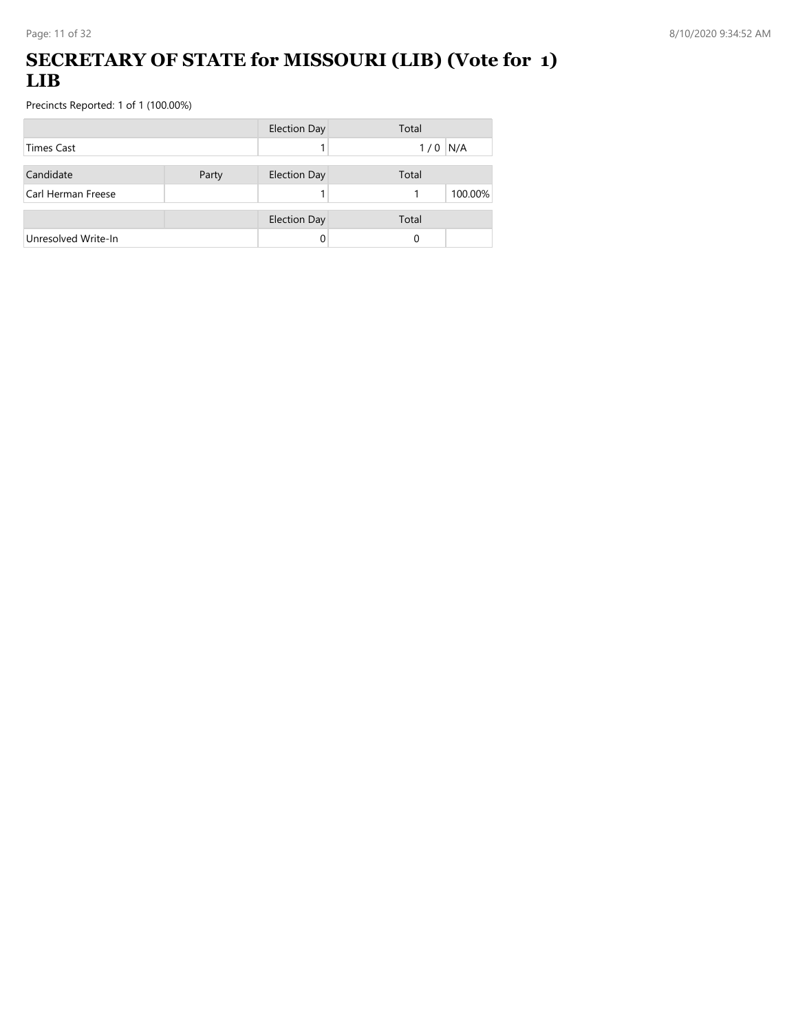### **SECRETARY OF STATE for MISSOURI (LIB) (Vote for 1) LIB**

|                     |       | <b>Election Day</b> | Total      |
|---------------------|-------|---------------------|------------|
| <b>Times Cast</b>   |       |                     | N/A<br>1/0 |
| Candidate           | Party | <b>Election Day</b> | Total      |
| Carl Herman Freese  |       |                     | 100.00%    |
|                     |       | <b>Election Day</b> | Total      |
| Unresolved Write-In |       |                     | 0          |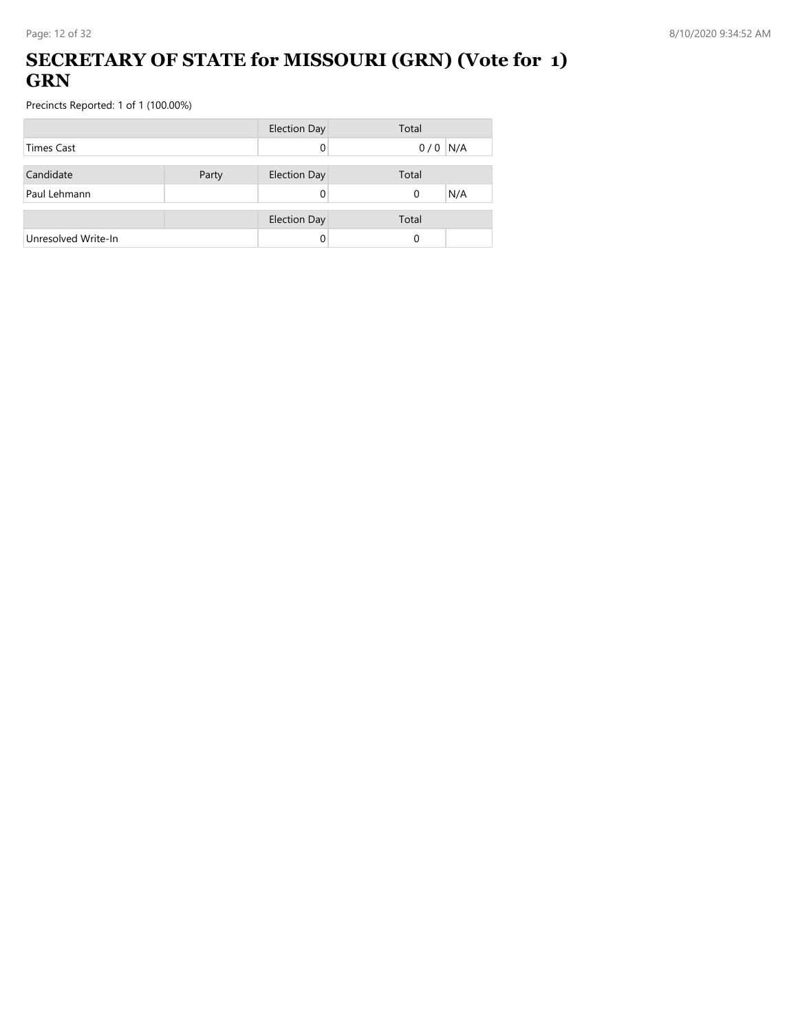### **SECRETARY OF STATE for MISSOURI (GRN) (Vote for 1) GRN**

|                     |       | <b>Election Day</b> | Total           |
|---------------------|-------|---------------------|-----------------|
| <b>Times Cast</b>   |       |                     | $0/0$ N/A       |
| Candidate           | Party | <b>Election Day</b> | Total           |
| Paul Lehmann        |       |                     | N/A<br>$\Omega$ |
|                     |       | <b>Election Day</b> | Total           |
| Unresolved Write-In |       |                     | 0               |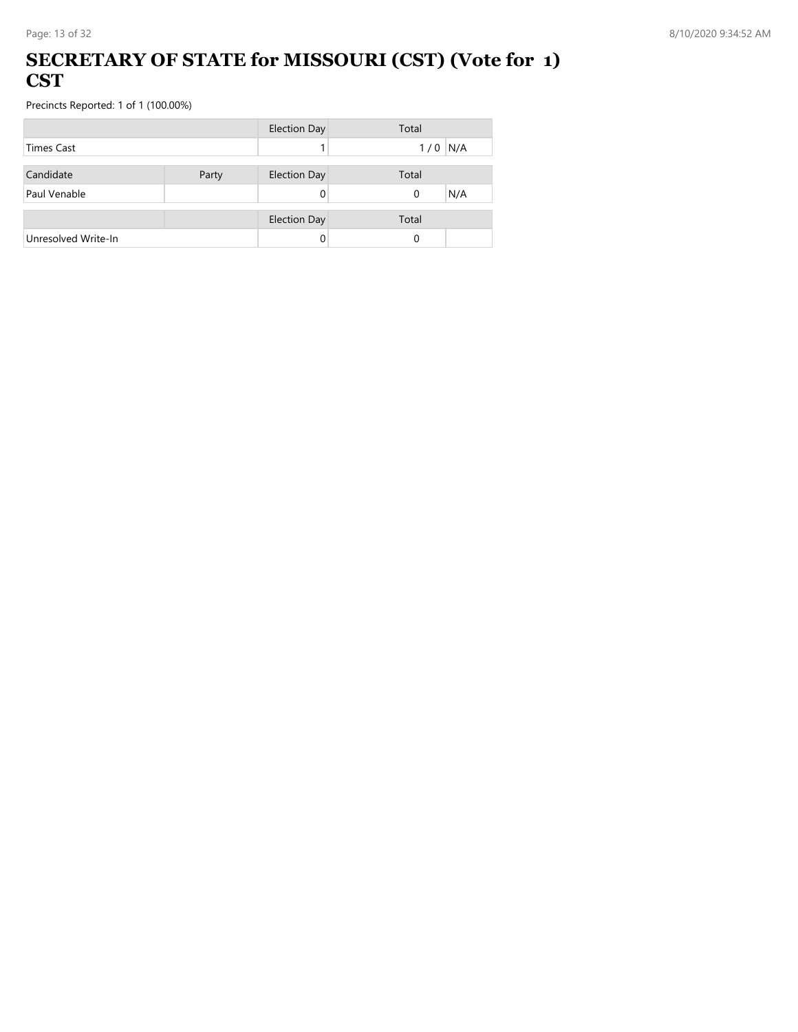#### **SECRETARY OF STATE for MISSOURI (CST) (Vote for 1) CST**

|                     |       | <b>Election Day</b> | Total     |
|---------------------|-------|---------------------|-----------|
| <b>Times Cast</b>   |       |                     | $1/0$ N/A |
|                     |       |                     |           |
| Candidate           | Party | <b>Election Day</b> | Total     |
| Paul Venable        |       |                     | N/A<br>0  |
|                     |       |                     |           |
|                     |       | <b>Election Day</b> | Total     |
| Unresolved Write-In |       |                     | $\Omega$  |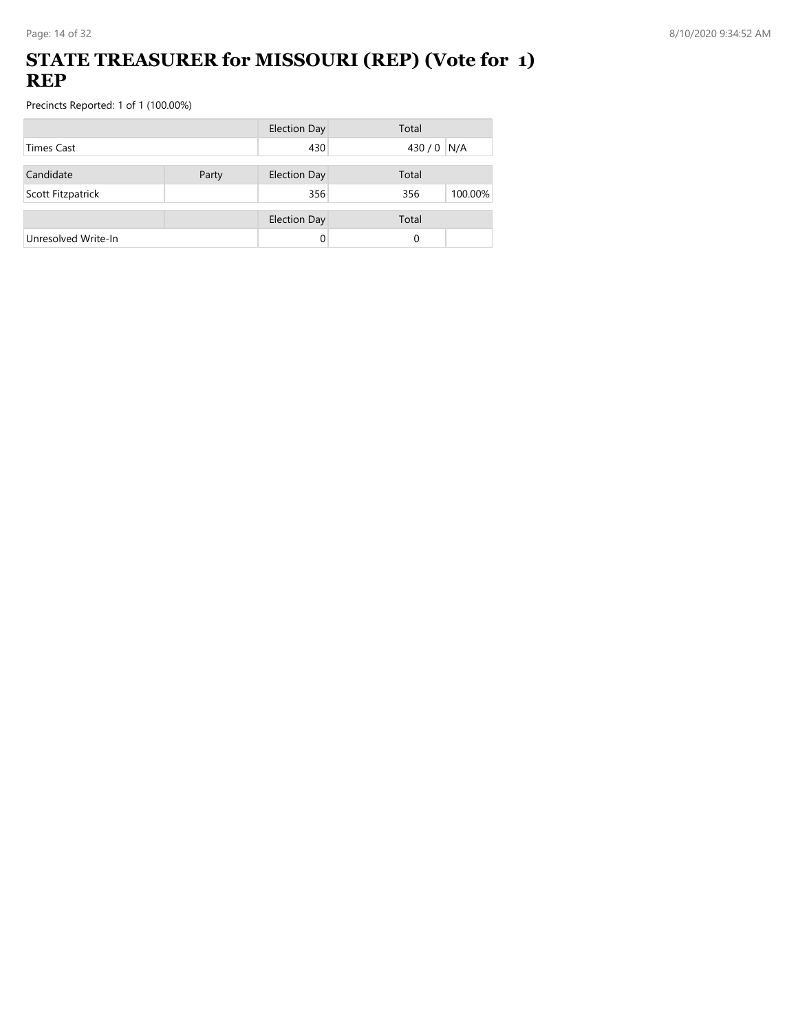### **STATE TREASURER for MISSOURI (REP) (Vote for 1) REP**

|                     |       | <b>Election Day</b> | Total          |
|---------------------|-------|---------------------|----------------|
| <b>Times Cast</b>   |       | 430                 | 430 / 0<br>N/A |
| Candidate           | Party | <b>Election Day</b> | Total          |
| Scott Fitzpatrick   |       | 356                 | 356<br>100.00% |
|                     |       | <b>Election Day</b> | Total          |
| Unresolved Write-In |       |                     | 0              |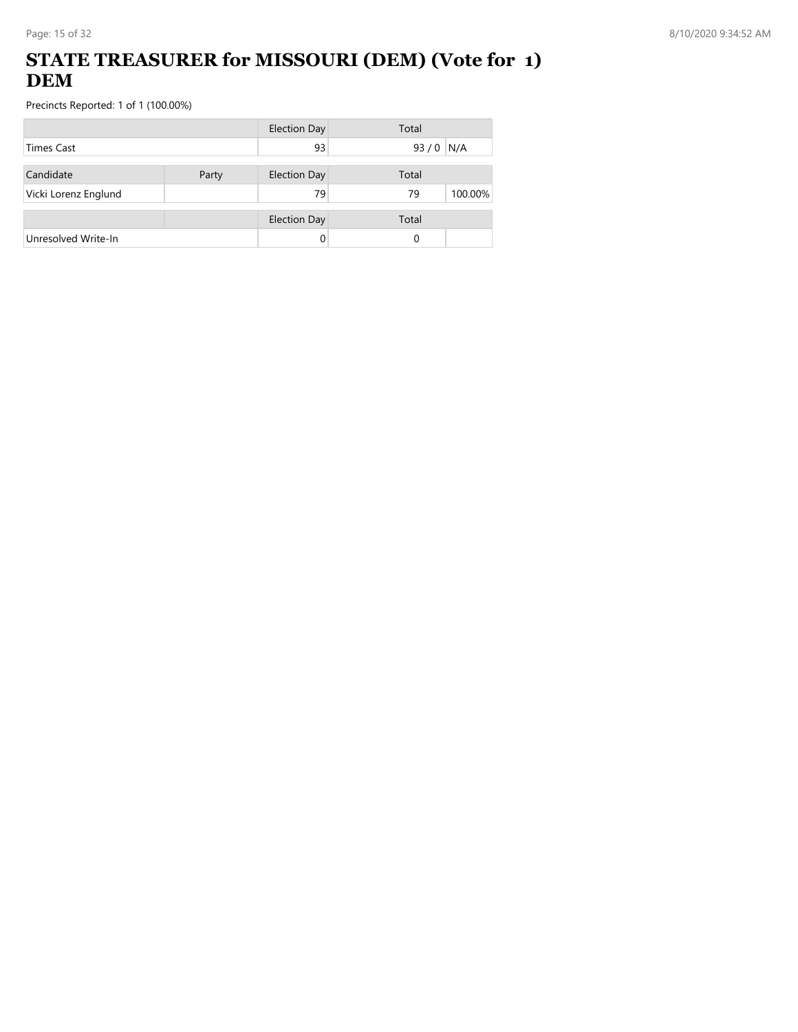## **STATE TREASURER for MISSOURI (DEM) (Vote for 1) DEM**

|                      |       | <b>Election Day</b> | Total         |
|----------------------|-------|---------------------|---------------|
| <b>Times Cast</b>    |       | 93                  | 93/0<br>N/A   |
| Candidate            | Party | <b>Election Day</b> | Total         |
| Vicki Lorenz Englund |       | 79                  | 100.00%<br>79 |
|                      |       | <b>Election Day</b> | Total         |
| Unresolved Write-In  |       |                     | 0             |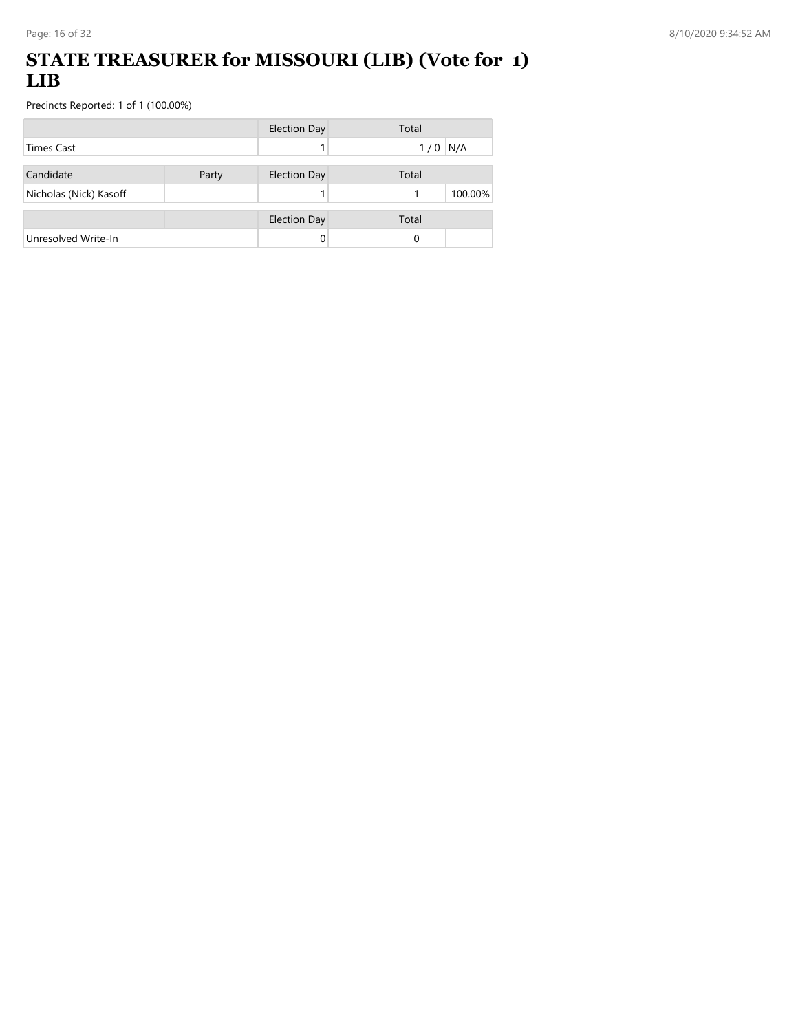### **STATE TREASURER for MISSOURI (LIB) (Vote for 1) LIB**

|                        |       | <b>Election Day</b> | Total      |
|------------------------|-------|---------------------|------------|
| <b>Times Cast</b>      |       |                     | N/A<br>1/0 |
| Candidate              | Party | <b>Election Day</b> | Total      |
| Nicholas (Nick) Kasoff |       |                     | 100.00%    |
|                        |       | <b>Election Day</b> | Total      |
| Unresolved Write-In    |       |                     | 0          |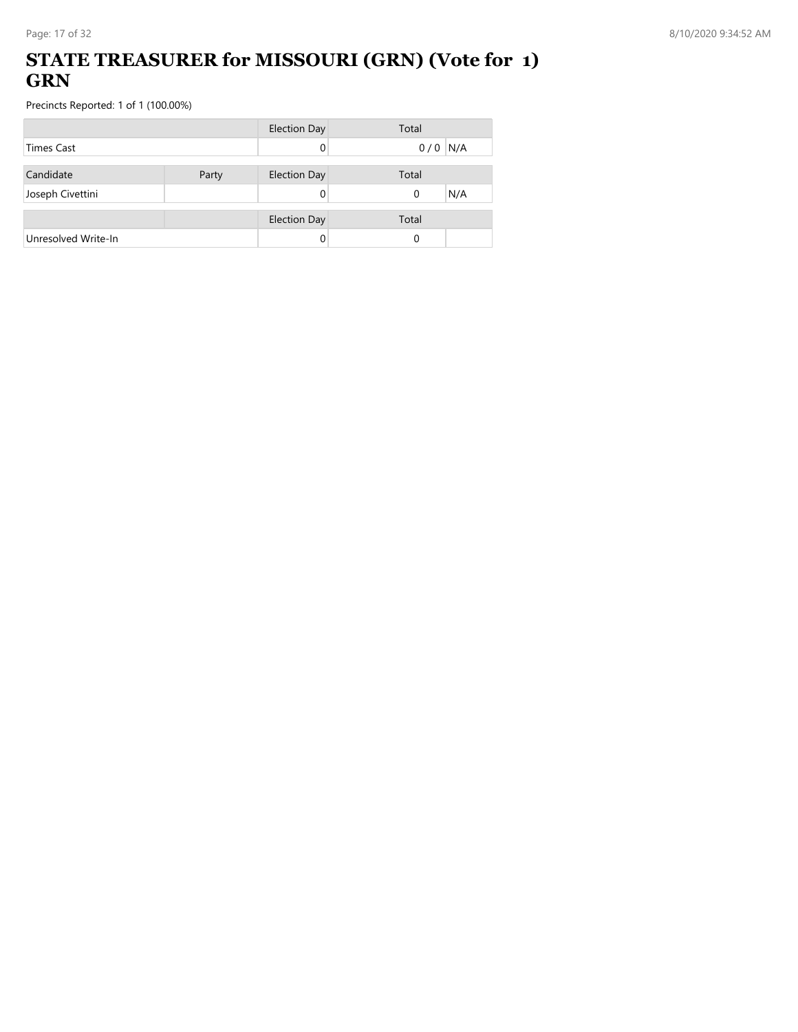## **STATE TREASURER for MISSOURI (GRN) (Vote for 1) GRN**

|                     |       | <b>Election Day</b> | Total           |
|---------------------|-------|---------------------|-----------------|
| <b>Times Cast</b>   |       |                     | $0/0$ N/A       |
| Candidate           | Party | <b>Election Day</b> | Total           |
| Joseph Civettini    |       |                     | N/A<br>$\Omega$ |
|                     |       | <b>Election Day</b> | Total           |
| Unresolved Write-In |       |                     | 0               |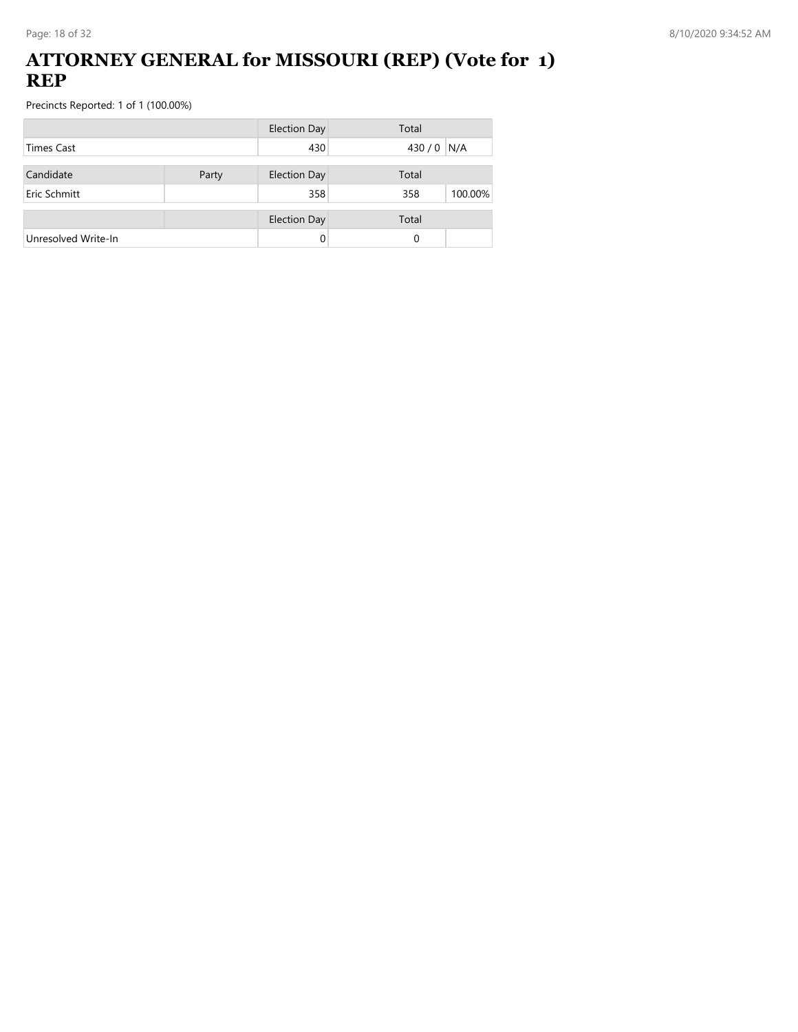#### **ATTORNEY GENERAL for MISSOURI (REP) (Vote for 1) REP**

|                     |       | <b>Election Day</b> | Total          |
|---------------------|-------|---------------------|----------------|
| <b>Times Cast</b>   |       | 430                 | 430 / 0 N/A    |
| Candidate           | Party | <b>Election Day</b> | Total          |
| Eric Schmitt        |       | 358                 | 358<br>100.00% |
|                     |       | <b>Election Day</b> | Total          |
| Unresolved Write-In |       |                     | 0              |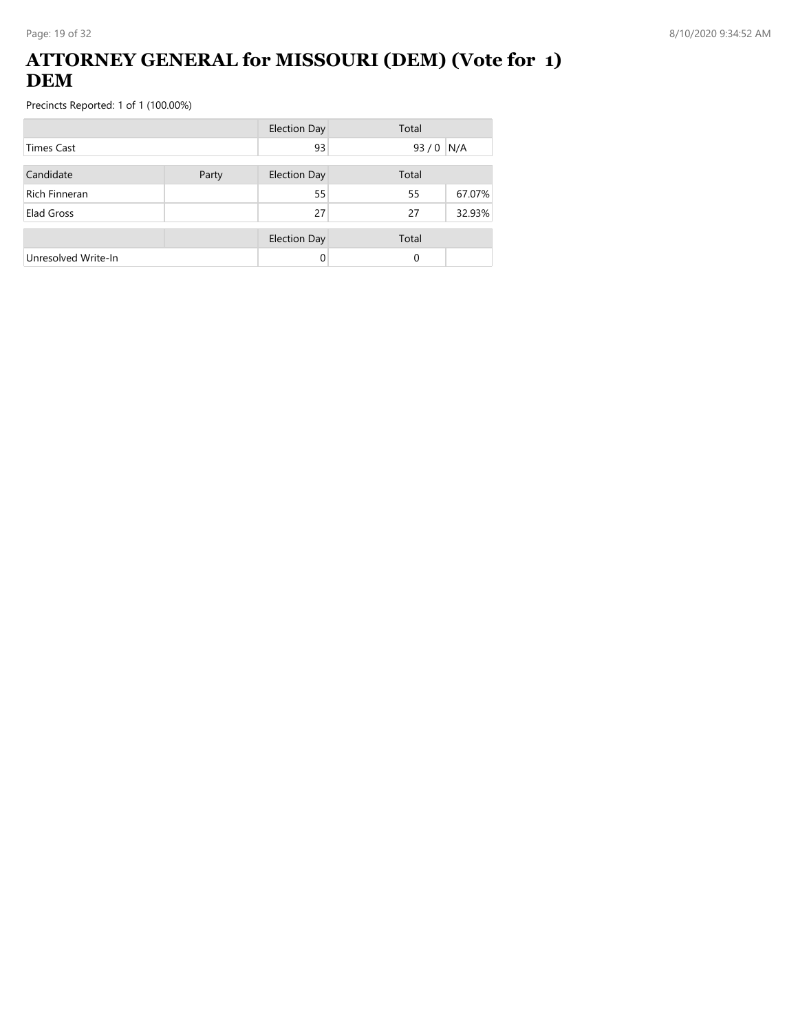### **ATTORNEY GENERAL for MISSOURI (DEM) (Vote for 1) DEM**

|                      |       | <b>Election Day</b> | Total |        |
|----------------------|-------|---------------------|-------|--------|
| <b>Times Cast</b>    |       | 93                  | 93/0  | N/A    |
| Candidate            | Party | <b>Election Day</b> | Total |        |
| <b>Rich Finneran</b> |       | 55                  | 55    | 67.07% |
| Elad Gross           |       | 27                  | 27    | 32.93% |
|                      |       | <b>Election Day</b> | Total |        |
| Unresolved Write-In  |       | 0                   | 0     |        |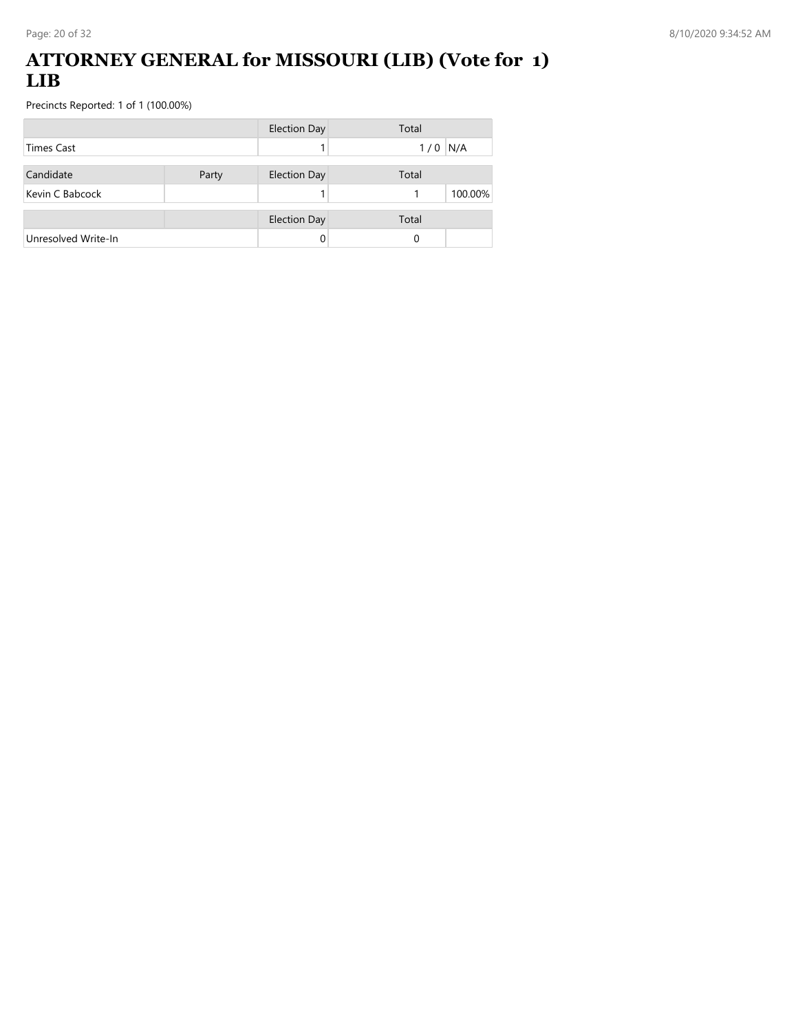#### **ATTORNEY GENERAL for MISSOURI (LIB) (Vote for 1) LIB**

|                     |       | <b>Election Day</b> | Total        |
|---------------------|-------|---------------------|--------------|
| <b>Times Cast</b>   |       |                     | N/A<br>1/0   |
| Candidate           | Party | <b>Election Day</b> | Total        |
| Kevin C Babcock     |       |                     | 100.00%<br>1 |
|                     |       | <b>Election Day</b> | Total        |
| Unresolved Write-In |       |                     | 0            |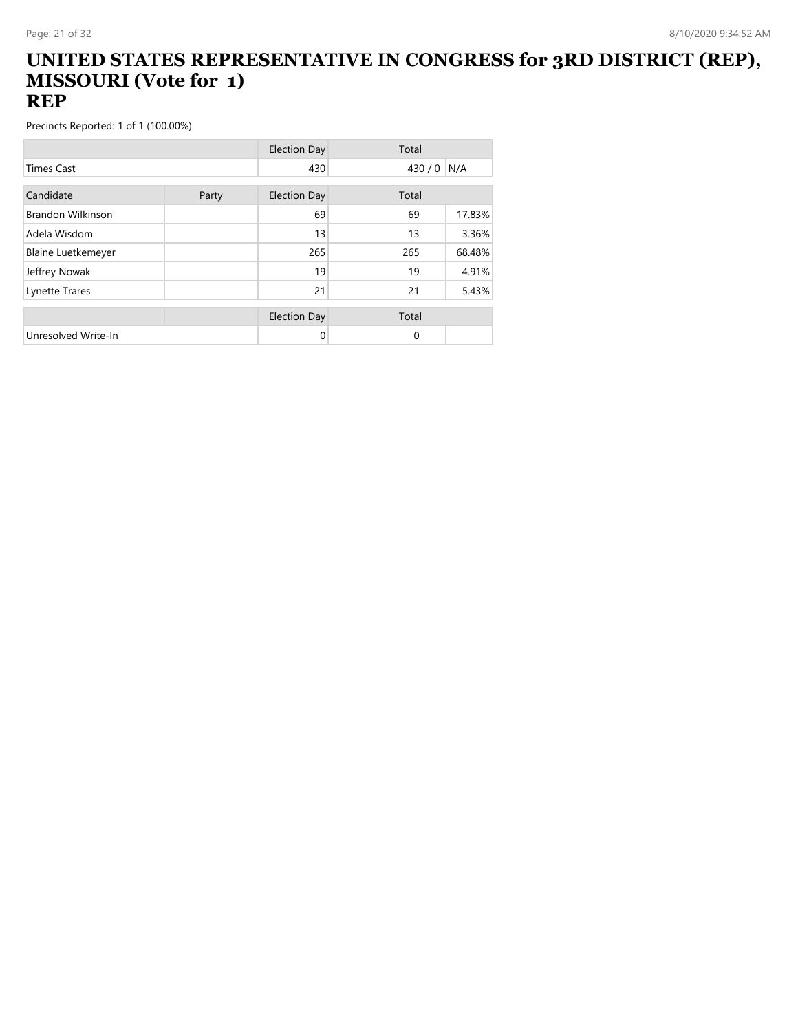#### **UNITED STATES REPRESENTATIVE IN CONGRESS for 3RD DISTRICT (REP), MISSOURI (Vote for 1) REP**

|                           |       | <b>Election Day</b> | Total    |        |
|---------------------------|-------|---------------------|----------|--------|
| <b>Times Cast</b>         |       | 430                 | 430/0    | N/A    |
| Candidate                 |       |                     |          |        |
|                           | Party | <b>Election Day</b> | Total    |        |
| <b>Brandon Wilkinson</b>  |       | 69                  | 69       | 17.83% |
| Adela Wisdom              |       | 13                  | 13       | 3.36%  |
| <b>Blaine Luetkemeyer</b> |       | 265                 | 265      | 68.48% |
| Jeffrey Nowak             |       | 19                  | 19       | 4.91%  |
| Lynette Trares            |       | 21                  | 21       | 5.43%  |
|                           |       |                     |          |        |
|                           |       | <b>Election Day</b> | Total    |        |
| Unresolved Write-In       |       | $\Omega$            | $\Omega$ |        |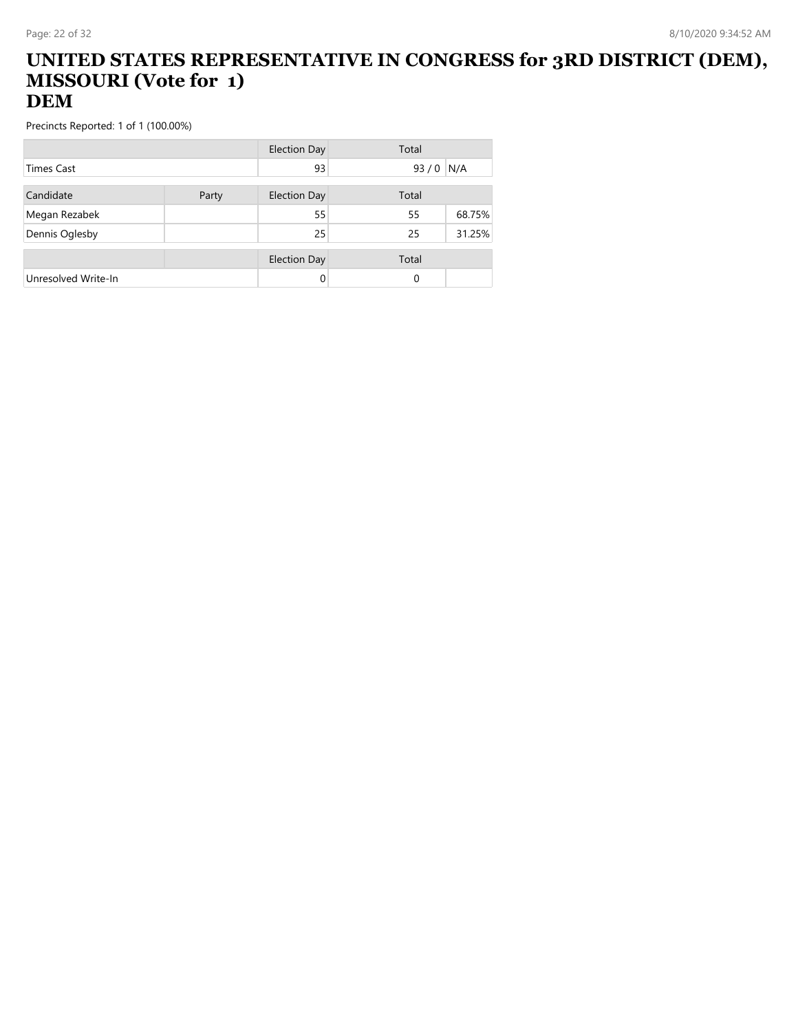#### **UNITED STATES REPRESENTATIVE IN CONGRESS for 3RD DISTRICT (DEM), MISSOURI (Vote for 1) DEM**

|                     |       | <b>Election Day</b> | Total    |        |
|---------------------|-------|---------------------|----------|--------|
| <b>Times Cast</b>   |       | 93                  | 93/0     | N/A    |
| Candidate           | Party | <b>Election Day</b> | Total    |        |
| Megan Rezabek       |       | 55                  | 55       | 68.75% |
| Dennis Oglesby      |       | 25                  | 25       | 31.25% |
|                     |       | <b>Election Day</b> | Total    |        |
| Unresolved Write-In |       |                     | $\Omega$ |        |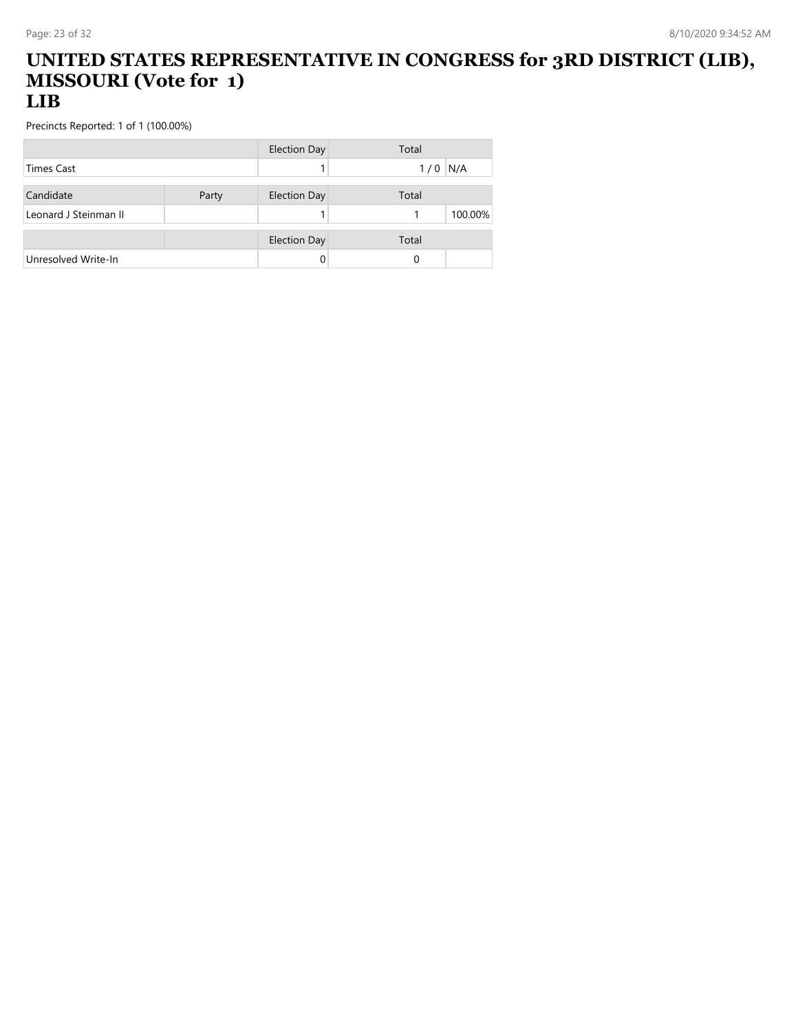#### **UNITED STATES REPRESENTATIVE IN CONGRESS for 3RD DISTRICT (LIB), MISSOURI (Vote for 1) LIB**

|                       |       | <b>Election Day</b> | Total     |
|-----------------------|-------|---------------------|-----------|
| <b>Times Cast</b>     |       |                     | $1/0$ N/A |
| Candidate             | Party | <b>Election Day</b> | Total     |
| Leonard J Steinman II |       |                     | 100.00%   |
|                       |       | <b>Election Day</b> | Total     |
| Unresolved Write-In   |       |                     | 0         |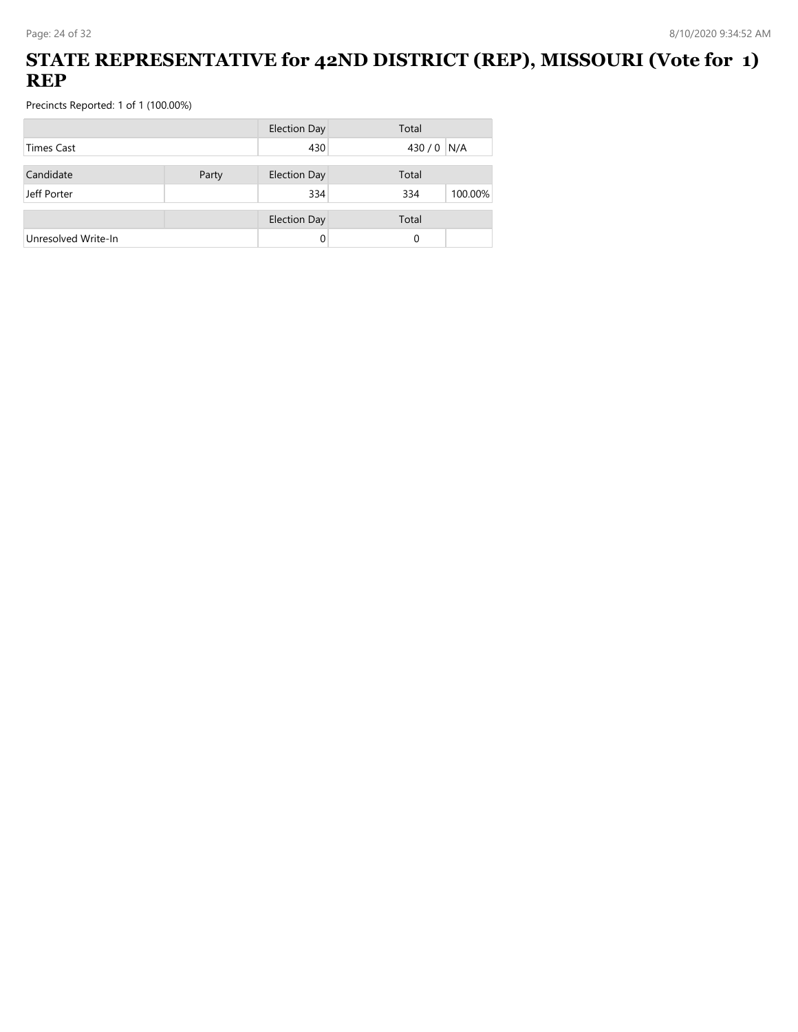## **STATE REPRESENTATIVE for 42ND DISTRICT (REP), MISSOURI (Vote for 1) REP**

|                     |       | <b>Election Day</b> | Total          |  |
|---------------------|-------|---------------------|----------------|--|
| <b>Times Cast</b>   |       | 430                 | 430/0<br>N/A   |  |
| Candidate           | Party | <b>Election Day</b> | Total          |  |
|                     |       |                     |                |  |
| Jeff Porter         |       | 334                 | 334<br>100.00% |  |
|                     |       | <b>Election Day</b> | Total          |  |
| Unresolved Write-In |       | 0                   | 0              |  |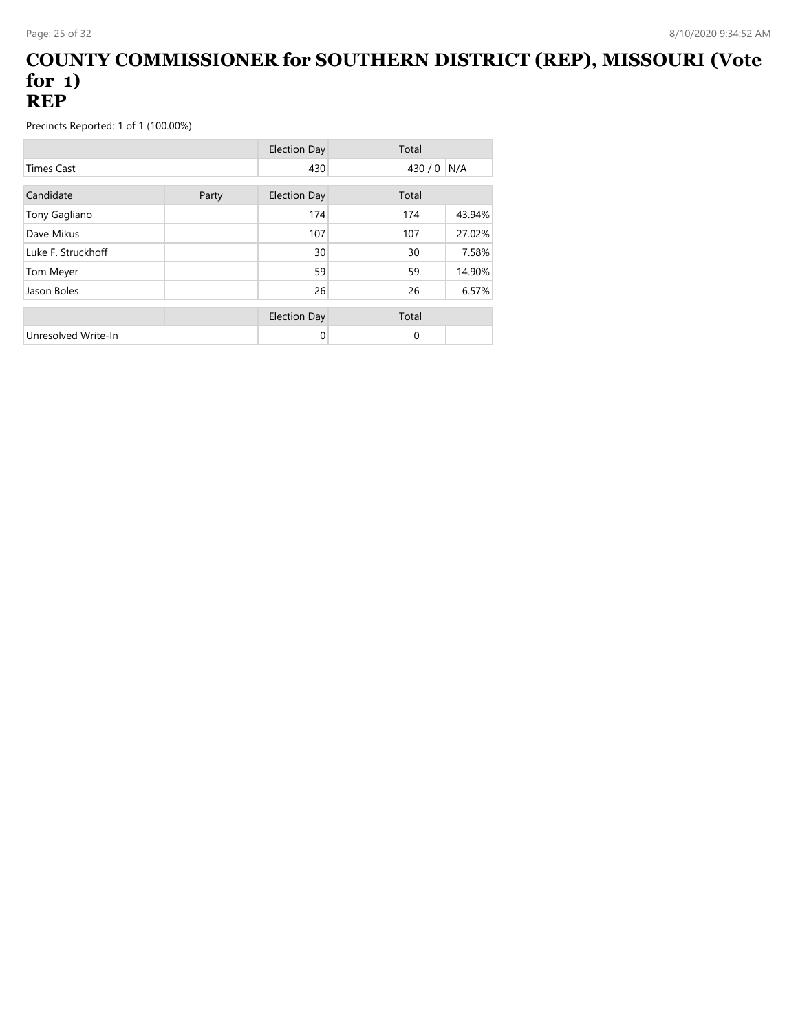#### **COUNTY COMMISSIONER for SOUTHERN DISTRICT (REP), MISSOURI (Vote for 1) REP**

|                     |       | <b>Election Day</b> | Total    |        |
|---------------------|-------|---------------------|----------|--------|
| <b>Times Cast</b>   |       | 430                 | 430/0    | N/A    |
| Candidate           | Party | <b>Election Day</b> | Total    |        |
| Tony Gagliano       |       | 174                 | 174      | 43.94% |
| Dave Mikus          |       | 107                 | 107      | 27.02% |
| Luke F. Struckhoff  |       | 30                  | 30       | 7.58%  |
| Tom Meyer           |       | 59                  | 59       | 14.90% |
| Jason Boles         |       | 26                  | 26       | 6.57%  |
|                     |       | <b>Election Day</b> | Total    |        |
| Unresolved Write-In |       | 0                   | $\Omega$ |        |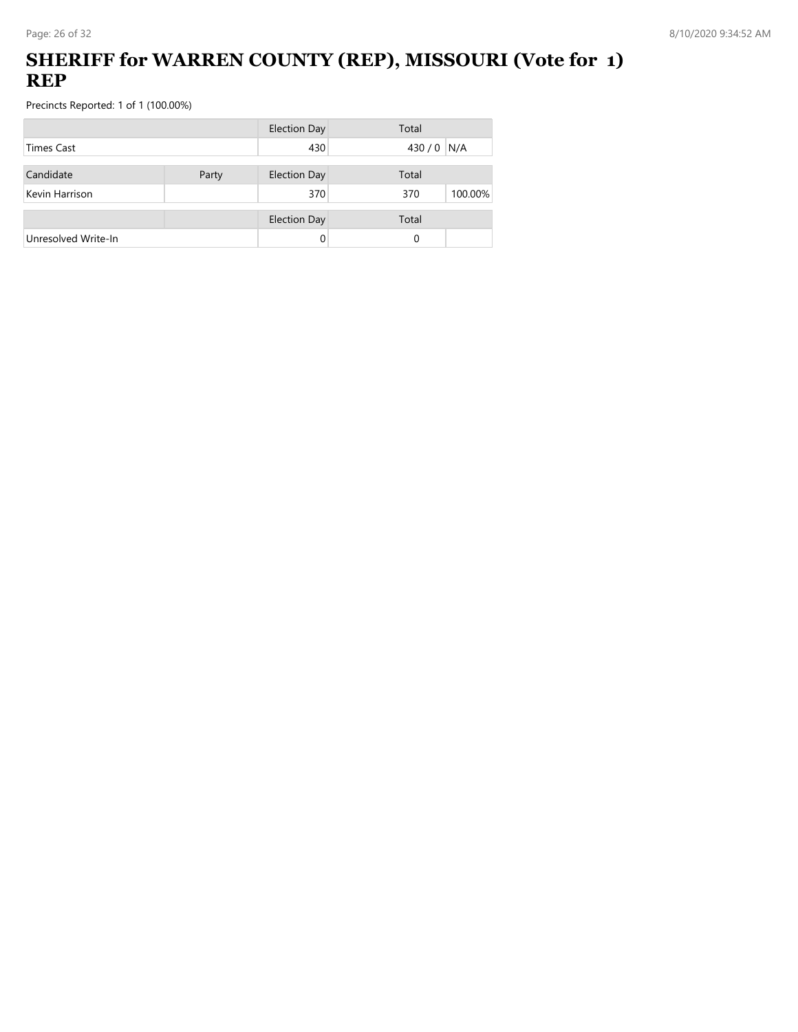## **SHERIFF for WARREN COUNTY (REP), MISSOURI (Vote for 1) REP**

|                     |       | <b>Election Day</b> | Total          |
|---------------------|-------|---------------------|----------------|
| Times Cast          |       | 430                 | 430/0<br>N/A   |
| Candidate           | Party | <b>Election Day</b> | Total          |
| Kevin Harrison      |       | 370                 | 100.00%<br>370 |
|                     |       | <b>Election Day</b> | Total          |
| Unresolved Write-In |       | 0                   | 0              |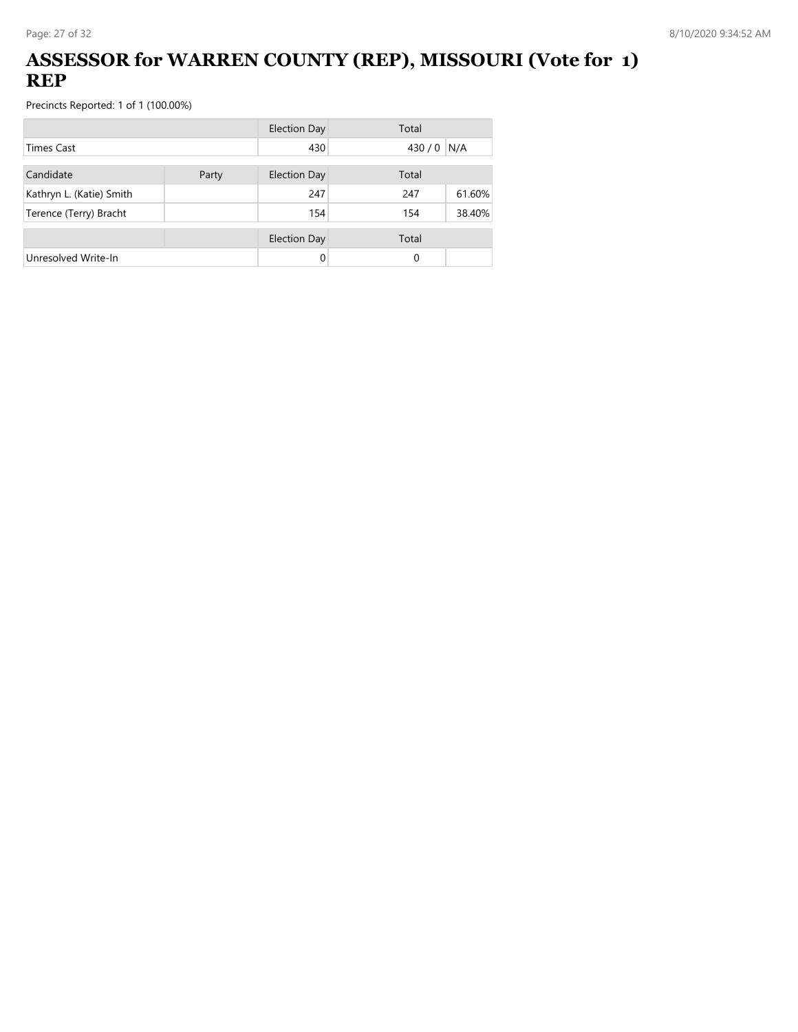## **ASSESSOR for WARREN COUNTY (REP), MISSOURI (Vote for 1) REP**

|                          |       | Election Day        | Total |        |
|--------------------------|-------|---------------------|-------|--------|
| <b>Times Cast</b>        |       | 430                 | 430/0 | N/A    |
| Candidate                | Party | <b>Election Day</b> | Total |        |
| Kathryn L. (Katie) Smith |       | 247                 | 247   | 61.60% |
| Terence (Terry) Bracht   |       | 154                 | 154   | 38.40% |
|                          |       | <b>Election Day</b> | Total |        |
| Unresolved Write-In      |       | 0                   | 0     |        |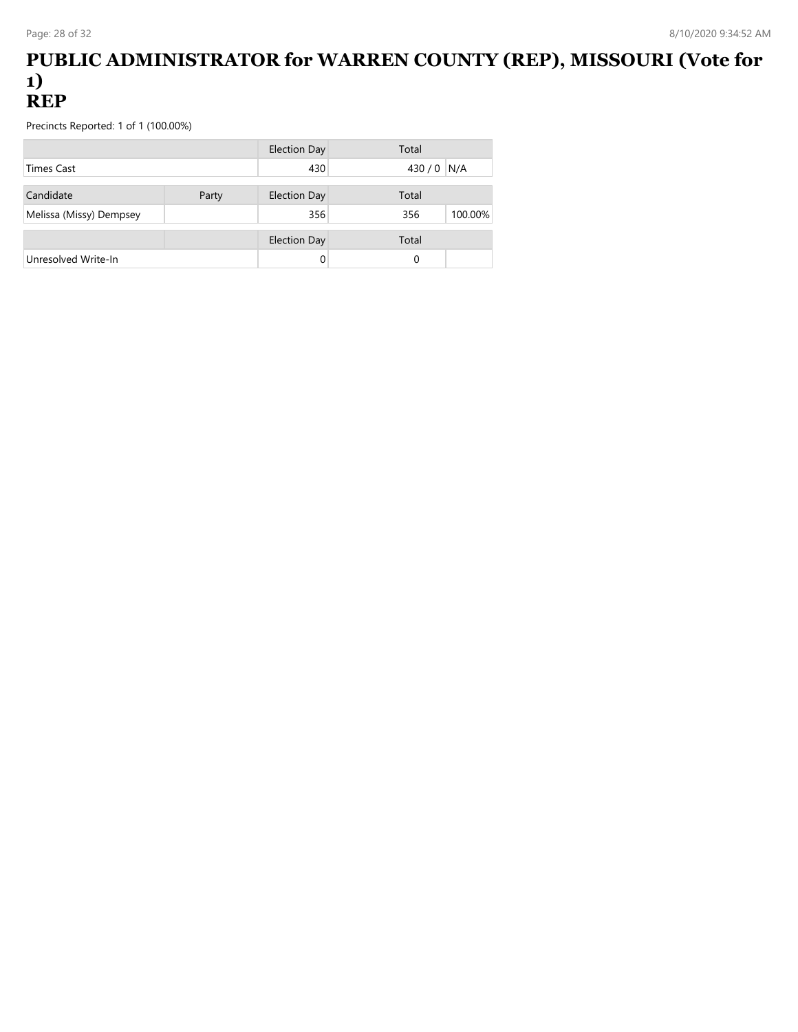#### **PUBLIC ADMINISTRATOR for WARREN COUNTY (REP), MISSOURI (Vote for 1) REP**

|                         |       | <b>Election Day</b> | Total       |         |
|-------------------------|-------|---------------------|-------------|---------|
| <b>Times Cast</b>       |       | 430                 | 430 / 0 N/A |         |
| Candidate               | Party | <b>Election Day</b> | Total       |         |
| Melissa (Missy) Dempsey |       | 356                 | 356         | 100.00% |
|                         |       | <b>Election Day</b> | Total       |         |
| Unresolved Write-In     |       |                     | 0           |         |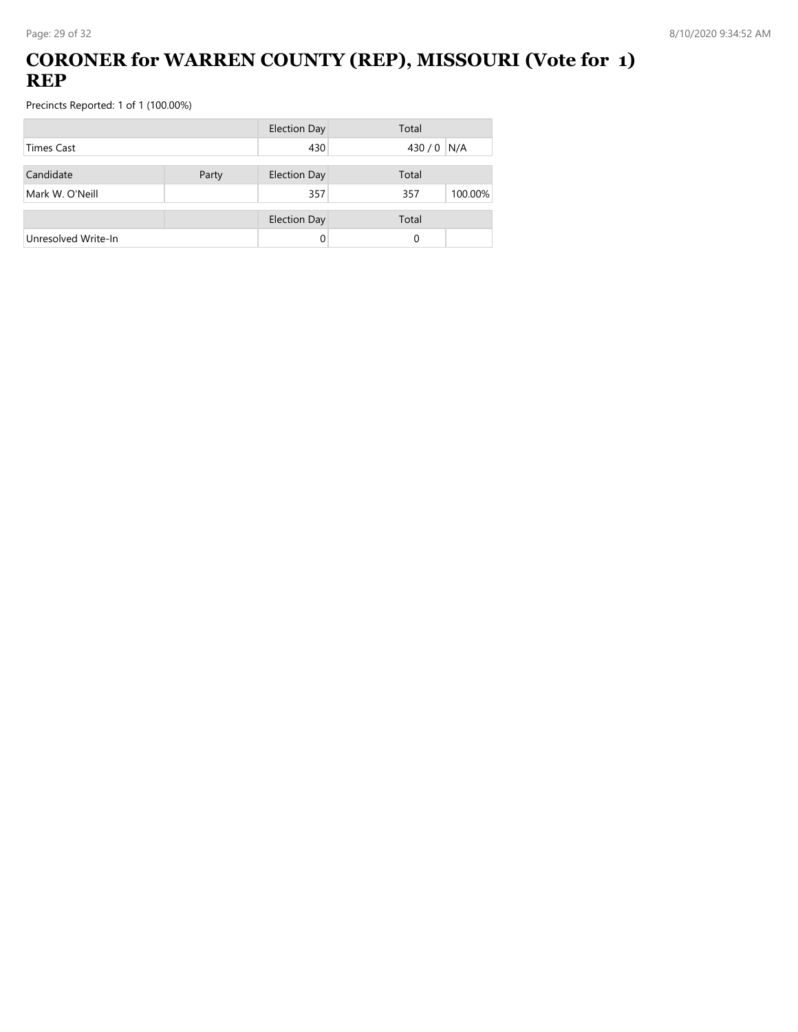## **CORONER for WARREN COUNTY (REP), MISSOURI (Vote for 1) REP**

|                     |       | <b>Election Day</b> | Total          |
|---------------------|-------|---------------------|----------------|
| <b>Times Cast</b>   |       | 430                 | 430 / 0 N/A    |
| Candidate           | Party | <b>Election Day</b> | Total          |
| Mark W. O'Neill     |       | 357                 | 100.00%<br>357 |
|                     |       | <b>Election Day</b> | Total          |
| Unresolved Write-In |       | 0                   | 0              |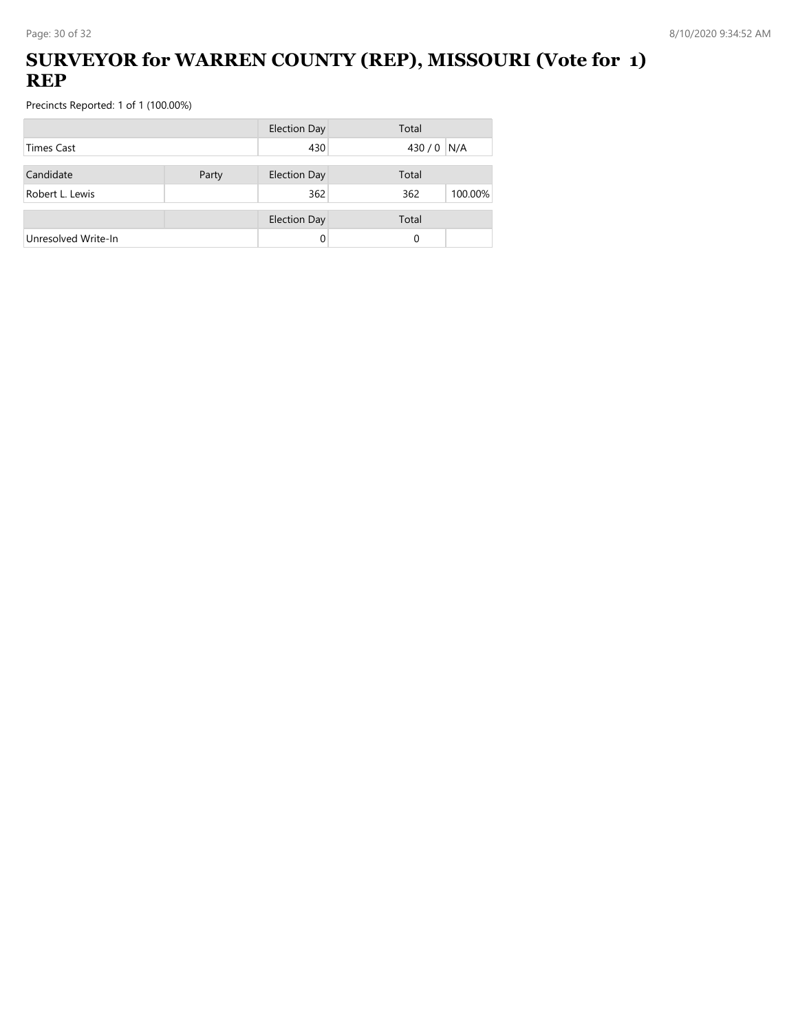## **SURVEYOR for WARREN COUNTY (REP), MISSOURI (Vote for 1) REP**

|                     |       | <b>Election Day</b> | Total          |
|---------------------|-------|---------------------|----------------|
| Times Cast          |       | 430                 | 430 / 0 N/A    |
| Candidate           | Party | <b>Election Day</b> | Total          |
| Robert L. Lewis     |       | 362                 | 362<br>100.00% |
|                     |       | <b>Election Day</b> | Total          |
| Unresolved Write-In |       |                     | 0              |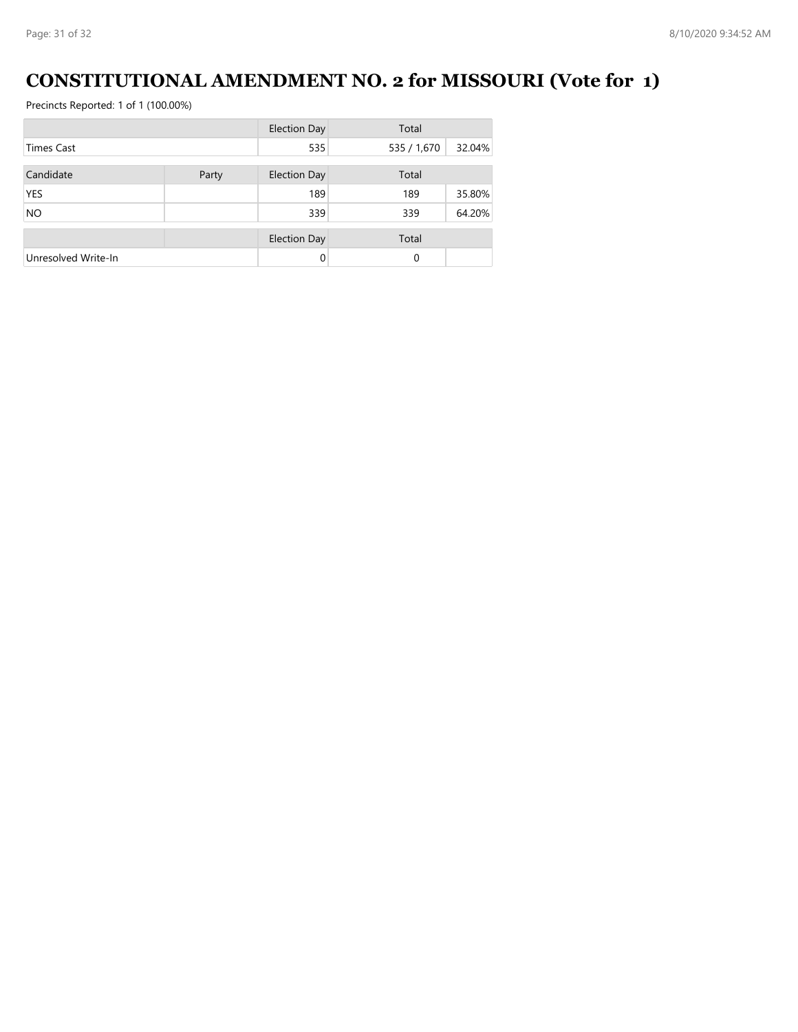# **CONSTITUTIONAL AMENDMENT NO. 2 for MISSOURI (Vote for 1)**

|                     |       | <b>Election Day</b> | Total       |        |
|---------------------|-------|---------------------|-------------|--------|
| <b>Times Cast</b>   |       | 535                 | 535 / 1,670 | 32.04% |
| Candidate           | Party | <b>Election Day</b> | Total       |        |
| <b>YES</b>          |       | 189                 | 189         | 35.80% |
| <b>NO</b>           |       | 339                 | 339         | 64.20% |
|                     |       | <b>Election Day</b> | Total       |        |
| Unresolved Write-In |       | $\Omega$            | $\Omega$    |        |